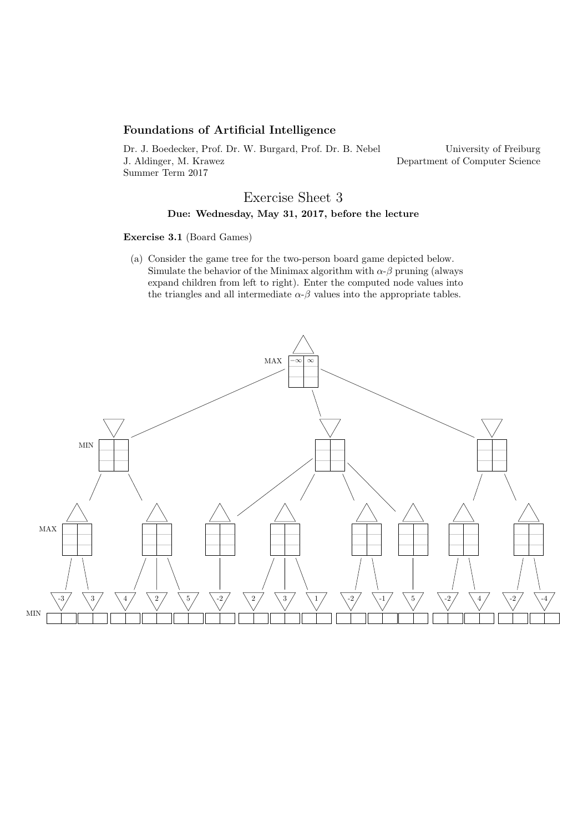## Foundations of Artificial Intelligence

Dr. J. Boedecker, Prof. Dr. W. Burgard, Prof. Dr. B. Nebel J. Aldinger, M. Krawez Summer Term 2017

University of Freiburg Department of Computer Science

# Exercise Sheet 3 Due: Wednesday, May 31, 2017, before the lecture

#### Exercise 3.1 (Board Games)

(a) Consider the game tree for the two-person board game depicted below. Simulate the behavior of the Minimax algorithm with  $\alpha$ - $\beta$  pruning (always expand children from left to right). Enter the computed node values into the triangles and all intermediate  $\alpha$ - $\beta$  values into the appropriate tables.

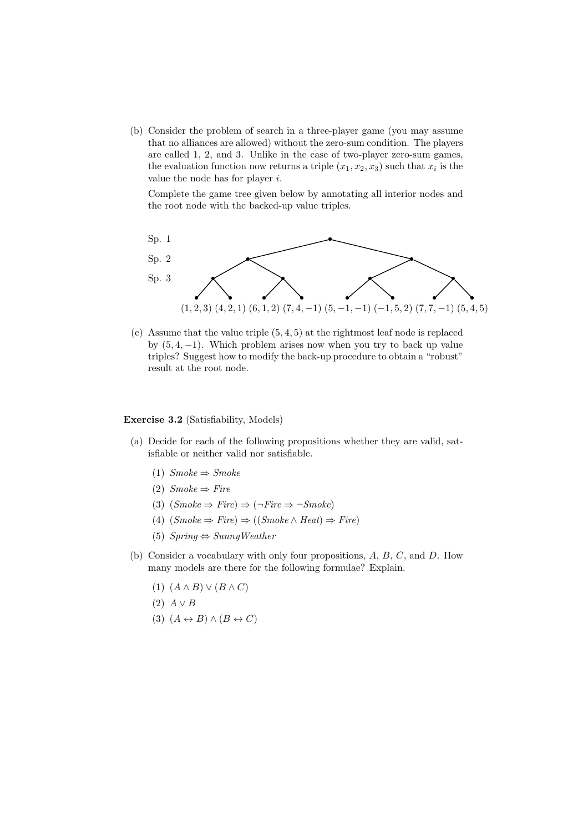(b) Consider the problem of search in a three-player game (you may assume that no alliances are allowed) without the zero-sum condition. The players are called 1, 2, and 3. Unlike in the case of two-player zero-sum games, the evaluation function now returns a triple  $(x_1, x_2, x_3)$  such that  $x_i$  is the value the node has for player i.

Complete the game tree given below by annotating all interior nodes and the root node with the backed-up value triples.



(c) Assume that the value triple  $(5, 4, 5)$  at the rightmost leaf node is replaced by  $(5, 4, -1)$ . Which problem arises now when you try to back up value triples? Suggest how to modify the back-up procedure to obtain a "robust" result at the root node.

### Exercise 3.2 (Satisfiability, Models)

- (a) Decide for each of the following propositions whether they are valid, satisfiable or neither valid nor satisfiable.
	- (1)  $Smoke \Rightarrow Smoke$
	- (2)  $Smoke \Rightarrow Fire$
	- (3)  $(Smoke \Rightarrow Fire) \Rightarrow (\neg Fire \Rightarrow \neg Smoke)$
	- (4)  $(Smoke \Rightarrow Fire) \Rightarrow ((Smoke \land Heat) \Rightarrow Fire)$
	- (5)  $Spring \Leftrightarrow SunnyWeather$
- (b) Consider a vocabulary with only four propositions, A, B, C, and D. How many models are there for the following formulae? Explain.
	- $(1)$   $(A \wedge B) \vee (B \wedge C)$
	- $(2)$   $A \vee B$
	- (3)  $(A \leftrightarrow B) \land (B \leftrightarrow C)$